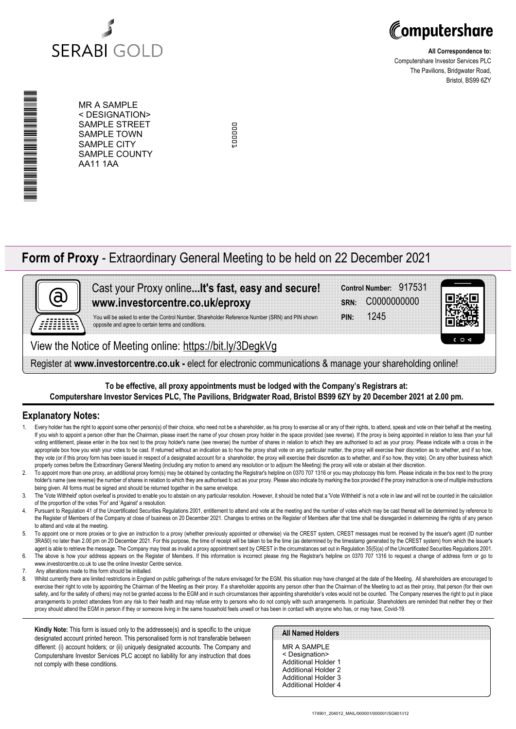



**All Correspondence to:** Computershare Investor Services PLC The Pavilions, Bridgwater Road, Bristol, BS99 6ZY

\*00000101010030\* A MARINA MANAGEMAN ANG MANGANG MANG

MR A SAMPLE < DESIGNATION> SAMPLE STREET SAMPLE TOWN SAMPLE CITY SAMPLE COUNTY AA11 1AA

cooper 000001

# **Form of Proxy** - Extraordinary General Meeting to be held on 22 December 2021



# Cast your Proxy online**...It's fast, easy and secure! www.investorcentre.co.uk/eproxy**

You will be asked to enter the Control Number, Shareholder Reference Number (SRN) and PIN shown opposite and agree to certain terms and conditions.

View the Notice of Meeting online: https://bit.ly/3DegkVg

Register at **www.investorcentre.co.uk -** elect for electronic communications & manage your shareholding online!

## **To be effective, all proxy appointments must be lodged with the Company's Registrars at: Computershare Investor Services PLC, The Pavilions, Bridgwater Road, Bristol BS99 6ZY by 20 December 2021 at 2.00 pm.**

# **Explanatory Notes:**

- 1. Every holder has the right to appoint some other person(s) of their choice, who need not be a shareholder, as his proxy to exercise all or any of their rights, to attend, speak and vote on their behalf at the meeting. If you wish to appoint a person other than the Chairman, please insert the name of your chosen proxy holder in the space provided (see reverse). If the proxy is being appointed in relation to less than your full voting entitlement, please enter in the box next to the proxy holder's name (see reverse) the number of shares in relation to which they are authorised to act as your proxy. Please indicate with a cross in the appropriate box how you wish your votes to be cast. If returned without an indication as to how the proxy shall vote on any particular matter, the proxy will exercise their discretion as to whether, and if so how, they vote (or if this proxy form has been issued in respect of a designated account for a shareholder, the proxy will exercise their discretion as to whether, and if so how, they vote). On any other business which properly comes before the Extraordinary General Meeting (including any motion to amend any resolution or to adjourn the Meeting) the proxy will vote or abstain at their discretion.
- 2. To appoint more than one proxy, an additional proxy form(s) may be obtained by contacting the Registrar's helpline on 0370 707 1316 or you may photocopy this form. Please indicate in the box next to the proxy holder's name (see reverse) the number of shares in relation to which they are authorised to act as your proxy. Please also indicate by marking the box provided if the proxy instruction is one of multiple instructions being given. All forms must be signed and should be returned together in the same envelope.
- 3. The 'Vote Withheld' option overleaf is provided to enable you to abstain on any particular resolution. However, it should be noted that a 'Vote Withheld' is not a vote in law and will not be counted in the calculation of the proportion of the votes 'For' and 'Against' a resolution.
- 4. Pursuant to Regulation 41 of the Uncertificated Securities Regulations 2001, entitlement to attend and vote at the meeting and the number of votes which may be cast thereat will be determined by reference to the Register of Members of the Company at close of business on 20 December 2021. Changes to entries on the Register of Members after that time shall be disregarded in determining the rights of any person to attend and vote at the meeting.
- 5. To appoint one or more proxies or to give an instruction to a proxy (whether previously appointed or otherwise) via the CREST system, CREST messages must be received by the issuer's agent (ID number 3RA50) no later than 2.00 pm on 20 December 2021. For this purpose, the time of receipt will be taken to be the time (as determined by the timestamp generated by the CREST system) from which the issuer's agent is able to retrieve the message. The Company may treat as invalid a proxy appointment sent by CREST in the circumstances set out in Regulation 35(5)(a) of the Uncertificated Securities Regulations 2001.
- 6. The above is how your address appears on the Register of Members. If this information is incorrect please ring the Registrar's helpline on 0370 707 1316 to request a change of address form or go to www.investorcentre.co.uk to use the online Investor Centre service.
- 7. Any alterations made to this form should be initialled.
- 8. Whilst currently there are limited restrictions in England on public gatherings of the nature envisaged for the EGM, this situation may have changed at the date of the Meeting. All shareholders are encouraged to exercise their right to vote by appointing the Chairman of the Meeting as their proxy. If a shareholder appoints any person other than the Chairman of the Meeting to act as their proxy, that person (for their own safety, and for the safety of others) may not be granted access to the EGM and in such circumstances their appointing shareholder's votes would not be counted. The Company reserves the right to put in place arrangements to protect attendees from any risk to their health and may refuse entry to persons who do not comply with such arrangements. In particular, Shareholders are reminded that neither they or their proxy should attend the EGM in person if they or someone living in the same household feels unwell or has been in contact with anyone who has, or may have, Covid-19.

**Kindly Note:** This form is issued only to the addressee(s) and is specific to the unique designated account printed hereon. This personalised form is not transferable between different: (i) account holders; or (ii) uniquely designated accounts. The Company and Computershare Investor Services PLC accept no liability for any instruction that does not comply with these conditions.

#### **All Named Holders**

MR A SAMPLE < Designation> Additional Holder 1 Additional Holder 2 Additional Holder 3 Additional Holder 4

**PIN:** 1245 **SRN:** C0000000000 **Control Number:** 917531